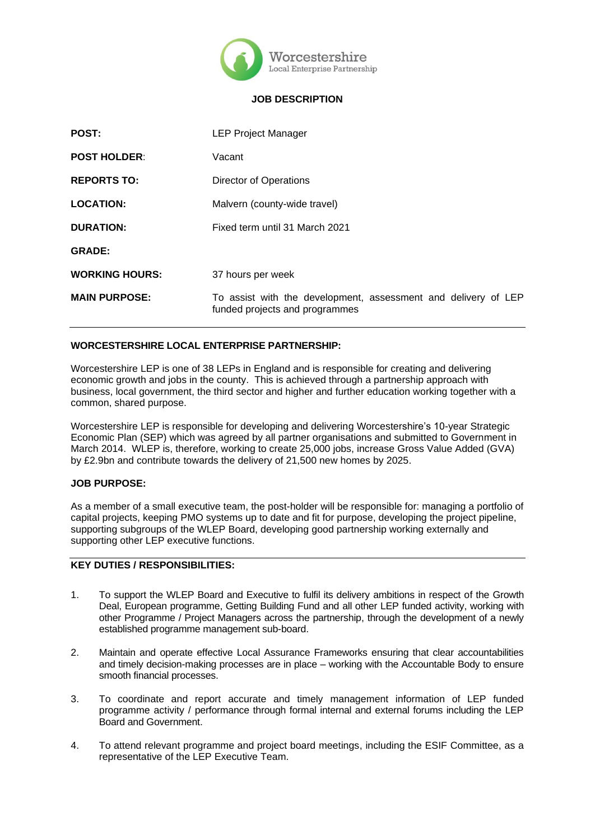

## **JOB DESCRIPTION**

| <b>POST:</b>          | <b>LEP Project Manager</b>                                                                       |
|-----------------------|--------------------------------------------------------------------------------------------------|
| <b>POST HOLDER:</b>   | Vacant                                                                                           |
| <b>REPORTS TO:</b>    | Director of Operations                                                                           |
| <b>LOCATION:</b>      | Malvern (county-wide travel)                                                                     |
| <b>DURATION:</b>      | Fixed term until 31 March 2021                                                                   |
| <b>GRADE:</b>         |                                                                                                  |
| <b>WORKING HOURS:</b> | 37 hours per week                                                                                |
| <b>MAIN PURPOSE:</b>  | To assist with the development, assessment and delivery of LEP<br>funded projects and programmes |

## **WORCESTERSHIRE LOCAL ENTERPRISE PARTNERSHIP:**

Worcestershire LEP is one of 38 LEPs in England and is responsible for creating and delivering economic growth and jobs in the county. This is achieved through a partnership approach with business, local government, the third sector and higher and further education working together with a common, shared purpose.

Worcestershire LEP is responsible for developing and delivering Worcestershire's 10-year Strategic Economic Plan (SEP) which was agreed by all partner organisations and submitted to Government in March 2014. WLEP is, therefore, working to create 25,000 jobs, increase Gross Value Added (GVA) by £2.9bn and contribute towards the delivery of 21,500 new homes by 2025.

### **JOB PURPOSE:**

As a member of a small executive team, the post-holder will be responsible for: managing a portfolio of capital projects, keeping PMO systems up to date and fit for purpose, developing the project pipeline, supporting subgroups of the WLEP Board, developing good partnership working externally and supporting other LEP executive functions.

# **KEY DUTIES / RESPONSIBILITIES:**

- 1. To support the WLEP Board and Executive to fulfil its delivery ambitions in respect of the Growth Deal, European programme, Getting Building Fund and all other LEP funded activity, working with other Programme / Project Managers across the partnership, through the development of a newly established programme management sub-board.
- 2. Maintain and operate effective Local Assurance Frameworks ensuring that clear accountabilities and timely decision-making processes are in place – working with the Accountable Body to ensure smooth financial processes.
- 3. To coordinate and report accurate and timely management information of LEP funded programme activity / performance through formal internal and external forums including the LEP Board and Government.
- 4. To attend relevant programme and project board meetings, including the ESIF Committee, as a representative of the LEP Executive Team.